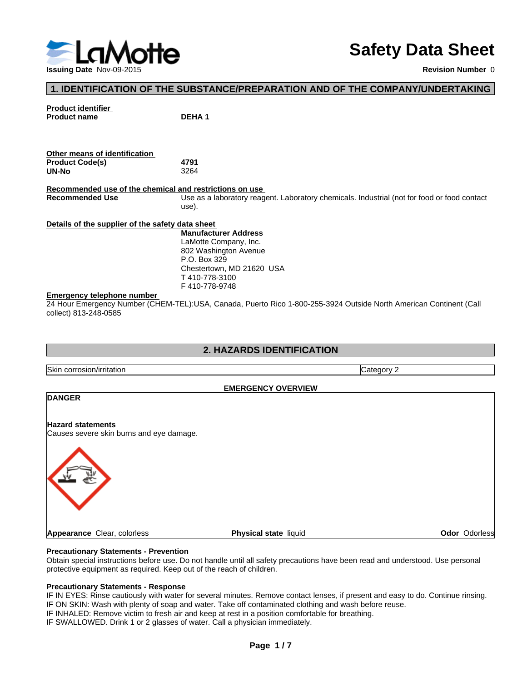

# **Safety Data Sheet**

**Revision Number** 0

### **1. IDENTIFICATION OF THE SUBSTANCE/PREPARATION AND OF THE COMPANY/UNDERTAKING**

# **Product identifier Product name DEHA 1 Other means of identification Product Code(s) 4791 UN-No** 3264 **Recommended use of the chemical and restrictions on use**  Use as a laboratory reagent. Laboratory chemicals. Industrial (not for food or food contact use). **Details of the supplier of the safety data sheet Emergency telephone number**  24 Hour Emergency Number (CHEM-TEL):USA, Canada, Puerto Rico 1-800-255-3924 Outside North American Continent (Call collect) 813-248-0585 **Manufacturer Address** LaMotte Company, Inc. 802 Washington Avenue P.O. Box 329 Chestertown, MD 21620 USA T 410-778-3100 F 410-778-9748

# **2. HAZARDS IDENTIFICATION**

Skin corrosion/irritation **Category 2** and Category 2 **EMERGENCY OVERVIEW DANGER Hazard statements** Causes severe skin burns and eye damage. **Appearance Clear, colorless <b>Physical state** liquid **Physical state Constant Constant Constant Constant Constant Constant Constant Constant Constant Constant Constant Constant Constant Constant Constant Constant Constant** 

#### **Precautionary Statements - Prevention**

Obtain special instructions before use. Do not handle until all safety precautions have been read and understood. Use personal protective equipment as required. Keep out of the reach of children.

#### **Precautionary Statements - Response**

IF IN EYES: Rinse cautiously with water for several minutes. Remove contact lenses, if present and easy to do. Continue rinsing. IF ON SKIN: Wash with plenty of soap and water. Take off contaminated clothing and wash before reuse.

IF INHALED: Remove victim to fresh air and keep at rest in a position comfortable for breathing.

IF SWALLOWED. Drink 1 or 2 glasses of water. Call a physician immediately.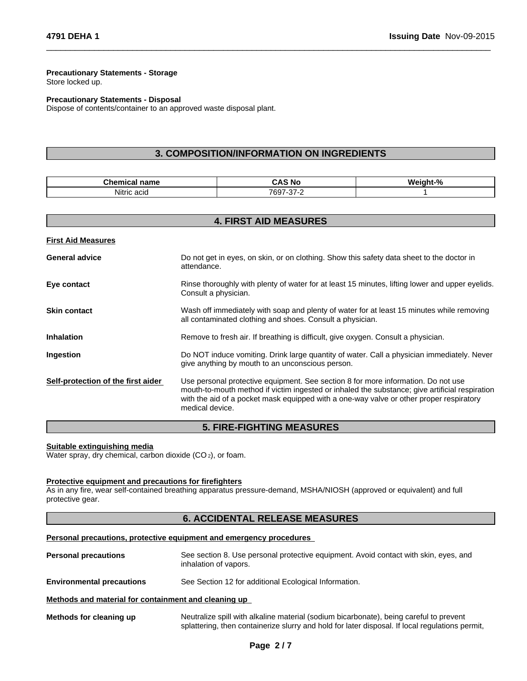#### **Precautionary Statements - Storage** Store locked up.

**Precautionary Statements - Disposal** Dispose of contents/container to an approved waste disposal plant.

### **3. COMPOSITION/INFORMATION ON INGREDIENTS**

 $\overline{\phantom{a}}$  ,  $\overline{\phantom{a}}$  ,  $\overline{\phantom{a}}$  ,  $\overline{\phantom{a}}$  ,  $\overline{\phantom{a}}$  ,  $\overline{\phantom{a}}$  ,  $\overline{\phantom{a}}$  ,  $\overline{\phantom{a}}$  ,  $\overline{\phantom{a}}$  ,  $\overline{\phantom{a}}$  ,  $\overline{\phantom{a}}$  ,  $\overline{\phantom{a}}$  ,  $\overline{\phantom{a}}$  ,  $\overline{\phantom{a}}$  ,  $\overline{\phantom{a}}$  ,  $\overline{\phantom{a}}$ 

| <b>CONTRACTOR</b>     | - - -                                |          |
|-----------------------|--------------------------------------|----------|
| name                  | CAS                                  | О.       |
| Unemicai <del>⊓</del> | i No                                 | 'Veiaht- |
| .<br>Nitric acio      | $\sim$ $\sim$<br>7697<br>∍ ≀ت⊹<br>-- |          |

|                                    | <b>4. FIRST AID MEASURES</b>                                                                                                                                                                                                                                                                      |  |  |  |  |
|------------------------------------|---------------------------------------------------------------------------------------------------------------------------------------------------------------------------------------------------------------------------------------------------------------------------------------------------|--|--|--|--|
| <b>First Aid Measures</b>          |                                                                                                                                                                                                                                                                                                   |  |  |  |  |
| <b>General advice</b>              | Do not get in eyes, on skin, or on clothing. Show this safety data sheet to the doctor in<br>attendance.                                                                                                                                                                                          |  |  |  |  |
| Eye contact                        | Rinse thoroughly with plenty of water for at least 15 minutes, lifting lower and upper eyelids.<br>Consult a physician.                                                                                                                                                                           |  |  |  |  |
| <b>Skin contact</b>                | Wash off immediately with soap and plenty of water for at least 15 minutes while removing<br>all contaminated clothing and shoes. Consult a physician.                                                                                                                                            |  |  |  |  |
| <b>Inhalation</b>                  | Remove to fresh air. If breathing is difficult, give oxygen. Consult a physician.                                                                                                                                                                                                                 |  |  |  |  |
| Ingestion                          | Do NOT induce vomiting. Drink large quantity of water. Call a physician immediately. Never<br>give anything by mouth to an unconscious person.                                                                                                                                                    |  |  |  |  |
| Self-protection of the first aider | Use personal protective equipment. See section 8 for more information. Do not use<br>mouth-to-mouth method if victim ingested or inhaled the substance; give artificial respiration<br>with the aid of a pocket mask equipped with a one-way valve or other proper respiratory<br>medical device. |  |  |  |  |

### **5. FIRE-FIGHTING MEASURES**

#### **Suitable extinguishing media**

Water spray, dry chemical, carbon dioxide (CO<sub>2</sub>), or foam.

#### **Protective equipment and precautions for firefighters**

As in any fire, wear self-contained breathing apparatus pressure-demand, MSHA/NIOSH (approved or equivalent) and full protective gear.

### **6. ACCIDENTAL RELEASE MEASURES**

#### **Personal precautions, protective equipment and emergency procedures**

| <b>Personal precautions</b> | See section 8. Use personal protective equipment. Avoid contact with skin, eyes, and |
|-----------------------------|--------------------------------------------------------------------------------------|
|                             | inhalation of vapors.                                                                |

**Environmental precautions** See Section 12 for additional Ecological Information.

#### **Methods and material for containment and cleaning up**

**Methods for cleaning up** Neutralize spill with alkaline material (sodium bicarbonate), being careful to prevent splattering, then containerize slurry and hold for later disposal. If local regulations permit,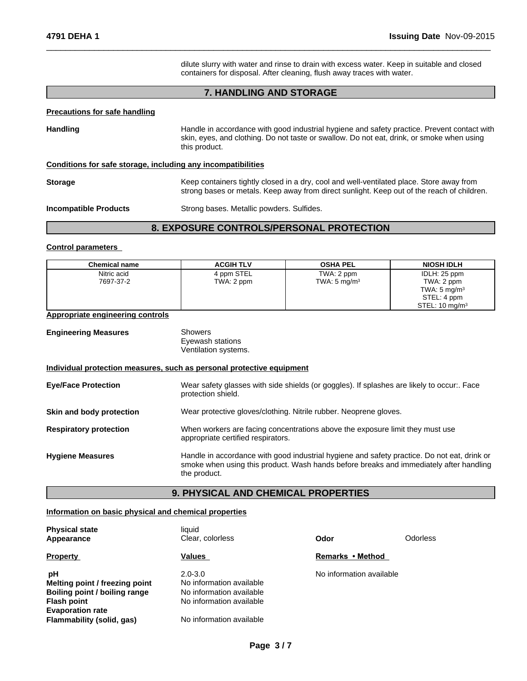dilute slurry with water and rinse to drain with excess water. Keep in suitable and closed containers for disposal. After cleaning, flush away traces with water.

 $\overline{\phantom{a}}$  ,  $\overline{\phantom{a}}$  ,  $\overline{\phantom{a}}$  ,  $\overline{\phantom{a}}$  ,  $\overline{\phantom{a}}$  ,  $\overline{\phantom{a}}$  ,  $\overline{\phantom{a}}$  ,  $\overline{\phantom{a}}$  ,  $\overline{\phantom{a}}$  ,  $\overline{\phantom{a}}$  ,  $\overline{\phantom{a}}$  ,  $\overline{\phantom{a}}$  ,  $\overline{\phantom{a}}$  ,  $\overline{\phantom{a}}$  ,  $\overline{\phantom{a}}$  ,  $\overline{\phantom{a}}$ 

# **7. HANDLING AND STORAGE**

#### **Precautions for safe handling**

| <b>Handling</b>                                              | Handle in accordance with good industrial hygiene and safety practice. Prevent contact with<br>skin, eyes, and clothing. Do not taste or swallow. Do not eat, drink, or smoke when using<br>this product. |  |  |  |
|--------------------------------------------------------------|-----------------------------------------------------------------------------------------------------------------------------------------------------------------------------------------------------------|--|--|--|
| Conditions for safe storage, including any incompatibilities |                                                                                                                                                                                                           |  |  |  |
| <b>Storage</b>                                               | Keep containers tightly closed in a dry, cool and well-ventilated place. Store away from<br>strong bases or metals. Keep away from direct sunlight. Keep out of the reach of children.                    |  |  |  |
| <b>Incompatible Products</b>                                 | Strong bases. Metallic powders. Sulfides.                                                                                                                                                                 |  |  |  |

# **8. EXPOSURE CONTROLS/PERSONAL PROTECTION**

#### **Control parameters**

| <b>Chemical name</b>                    | <b>ACGIH TLV</b>                                                                                                 | <b>OSHA PEL</b>                                                                                                     | <b>NIOSH IDLH</b>                                                                                 |  |  |
|-----------------------------------------|------------------------------------------------------------------------------------------------------------------|---------------------------------------------------------------------------------------------------------------------|---------------------------------------------------------------------------------------------------|--|--|
| Nitric acid<br>7697-37-2                | 4 ppm STEL<br>TWA: 2 ppm                                                                                         | TWA: 2 ppm<br>TWA: $5 \text{ mg/m}^3$                                                                               | IDLH: 25 ppm<br>TWA: 2 ppm<br>TWA: $5 \text{ mg/m}^3$<br>STEL: 4 ppm<br>STEL: $10 \text{ mg/m}^3$ |  |  |
| <b>Appropriate engineering controls</b> |                                                                                                                  |                                                                                                                     |                                                                                                   |  |  |
| <b>Engineering Measures</b>             | <b>Showers</b><br>Eyewash stations<br>Ventilation systems.                                                       |                                                                                                                     |                                                                                                   |  |  |
|                                         | Individual protection measures, such as personal protective equipment                                            |                                                                                                                     |                                                                                                   |  |  |
| <b>Eye/Face Protection</b>              | Wear safety glasses with side shields (or goggles). If splashes are likely to occur:. Face<br>protection shield. |                                                                                                                     |                                                                                                   |  |  |
| Skin and body protection                |                                                                                                                  | Wear protective gloves/clothing. Nitrile rubber. Neoprene gloves.                                                   |                                                                                                   |  |  |
| <b>Respiratory protection</b>           |                                                                                                                  | When workers are facing concentrations above the exposure limit they must use<br>appropriate certified respirators. |                                                                                                   |  |  |

| <b>Hygiene Measures</b> | Handle in accordance with good industrial hygiene and safety practice. Do not eat, drink or |  |  |
|-------------------------|---------------------------------------------------------------------------------------------|--|--|
|                         | smoke when using this product. Wash hands before breaks and immediately after handling      |  |  |
|                         | the product.                                                                                |  |  |

### **9. PHYSICAL AND CHEMICAL PROPERTIES**

#### **Information on basic physical and chemical properties**

| <b>Physical state</b><br>Appearance                                                                                    | liauid<br>Clear, colorless                                                                      | Odor                     | Odorless |
|------------------------------------------------------------------------------------------------------------------------|-------------------------------------------------------------------------------------------------|--------------------------|----------|
| <b>Property</b>                                                                                                        | Values                                                                                          | Remarks • Method         |          |
| pH<br>Melting point / freezing point<br>Boiling point / boiling range<br><b>Flash point</b><br><b>Evaporation rate</b> | $2.0 - 3.0$<br>No information available<br>No information available<br>No information available | No information available |          |
| Flammability (solid, gas)                                                                                              | No information available                                                                        |                          |          |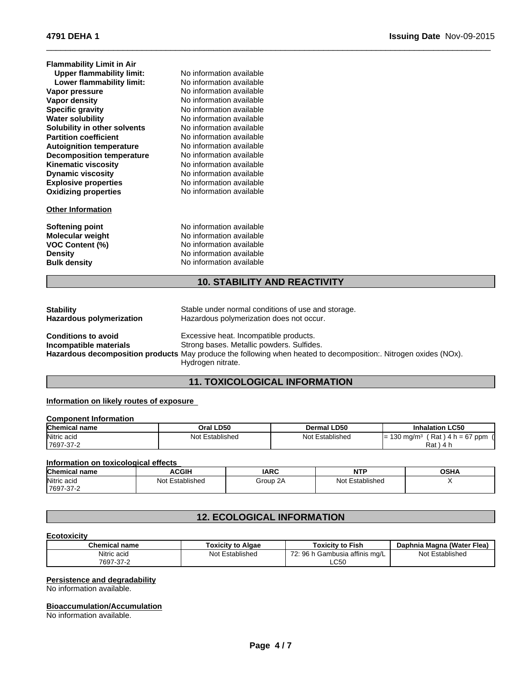| <b>Flammability Limit in Air</b> |                          |  |
|----------------------------------|--------------------------|--|
| <b>Upper flammability limit:</b> | No information available |  |
| Lower flammability limit:        | No information available |  |
| Vapor pressure                   | No information available |  |
| Vapor density                    | No information available |  |
| <b>Specific gravity</b>          | No information available |  |
| <b>Water solubility</b>          | No information available |  |
| Solubility in other solvents     | No information available |  |
| <b>Partition coefficient</b>     | No information available |  |
| <b>Autoignition temperature</b>  | No information available |  |
| <b>Decomposition temperature</b> | No information available |  |
| <b>Kinematic viscosity</b>       | No information available |  |
| <b>Dynamic viscosity</b>         | No information available |  |
| <b>Explosive properties</b>      | No information available |  |
| <b>Oxidizing properties</b>      | No information available |  |
| <b>Other Information</b>         |                          |  |
| Softening point                  | No information available |  |
| <b>Molecular weight</b>          | No information available |  |
| <b>VOC Content (%)</b>           | No information available |  |
| <b>Density</b>                   | No information available |  |
| <b>Bulk density</b>              | No information available |  |

# **10. STABILITY AND REACTIVITY**

 $\overline{\phantom{a}}$  ,  $\overline{\phantom{a}}$  ,  $\overline{\phantom{a}}$  ,  $\overline{\phantom{a}}$  ,  $\overline{\phantom{a}}$  ,  $\overline{\phantom{a}}$  ,  $\overline{\phantom{a}}$  ,  $\overline{\phantom{a}}$  ,  $\overline{\phantom{a}}$  ,  $\overline{\phantom{a}}$  ,  $\overline{\phantom{a}}$  ,  $\overline{\phantom{a}}$  ,  $\overline{\phantom{a}}$  ,  $\overline{\phantom{a}}$  ,  $\overline{\phantom{a}}$  ,  $\overline{\phantom{a}}$ 

| <b>Stability</b>                              | Stable under normal conditions of use and storage.                                                                                                                                                                           |
|-----------------------------------------------|------------------------------------------------------------------------------------------------------------------------------------------------------------------------------------------------------------------------------|
| Hazardous polymerization                      | Hazardous polymerization does not occur.                                                                                                                                                                                     |
| Conditions to avoid<br>Incompatible materials | Excessive heat. Incompatible products.<br>Strong bases. Metallic powders. Sulfides.<br>Hazardous decomposition products May produce the following when heated to decomposition:. Nitrogen oxides (NOx).<br>Hydrogen nitrate. |

# **11. TOXICOLOGICAL INFORMATION**

#### **Information on likely routes of exposure**

| <b>Component Information</b> |                 |                 |                                               |  |
|------------------------------|-----------------|-----------------|-----------------------------------------------|--|
| <b>Chemical name</b>         | Oral LD50       | Dermal LD50     | <b>Inhalation LC50</b>                        |  |
| Nitric acid                  | Not Established | Not Established | $'$ Rat ) 4 h = 67 ppm<br>130 mg/m $3$<br>$=$ |  |
| 7697-37-2                    |                 |                 | $Rat$ ) 4 h                                   |  |

#### **Information on toxicological effects**

| <b>Chemical name</b>               | <b>ACGIH</b>         | <b>IARC</b> | <b>MTI</b><br>. | <b>OSHA</b> |
|------------------------------------|----------------------|-------------|-----------------|-------------|
| Nitric acid                        | Established<br>Not ' | Group 2A    | Not Established |             |
| $\sim$ $\sim$<br>7697<br>$-31 - 2$ |                      |             |                 |             |

# **12. ECOLOGICAL INFORMATION**

#### **Ecotoxicity**

| <b>Chemical name</b> | <b>Toxicity to Algae</b> | Toxicitv to Fish                   | ∟(Water Flea)<br>Daphnia Magna |
|----------------------|--------------------------|------------------------------------|--------------------------------|
| Nitric acid          | Not ∟<br>Established     | Gambusia affinis mg/L<br>70.<br>96 | Established<br>Not             |
| 7697-37-2            |                          | CEO<br>∟∪ບບ                        |                                |

#### **Persistence and degradability**

No information available.

#### **Bioaccumulation/Accumulation**

No information available.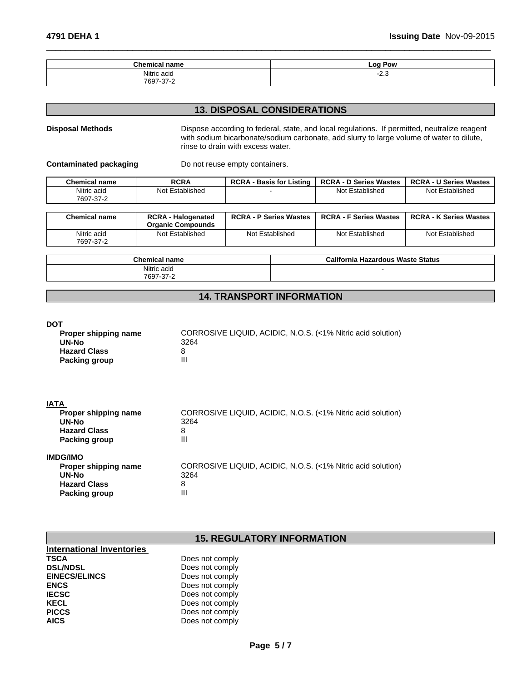Not Established Not Established

| ^'<br>.<br>. .<br>                              | $\sim$<br>Pow<br>-- |
|-------------------------------------------------|---------------------|
| $\mathbf{r}$<br>NH+<br>$\sim$<br>-<br>باات<br>. | د.ے۔                |
| 700                                             |                     |

 $\overline{\phantom{a}}$  ,  $\overline{\phantom{a}}$  ,  $\overline{\phantom{a}}$  ,  $\overline{\phantom{a}}$  ,  $\overline{\phantom{a}}$  ,  $\overline{\phantom{a}}$  ,  $\overline{\phantom{a}}$  ,  $\overline{\phantom{a}}$  ,  $\overline{\phantom{a}}$  ,  $\overline{\phantom{a}}$  ,  $\overline{\phantom{a}}$  ,  $\overline{\phantom{a}}$  ,  $\overline{\phantom{a}}$  ,  $\overline{\phantom{a}}$  ,  $\overline{\phantom{a}}$  ,  $\overline{\phantom{a}}$ 

### **13. DISPOSAL CONSIDERATIONS**

# **Disposal Methods** Dispose according to federal, state, and local regulations. If permitted, neutralize reagent with sodium bicarbonate/sodium carbonate, add slurry to large volume of water to dilute, rinse to drain with excess water. **Contaminated packaging Theory Containers.** Do not reuse empty containers. **Chemical name RCRA RCRA - Basis for Listing RCRA - D Series Wastes RCRA - U Series Wastes**

| .<br>7697-37-2           | .                                                     |                               | .                             | .                             |
|--------------------------|-------------------------------------------------------|-------------------------------|-------------------------------|-------------------------------|
| <b>Chemical name</b>     | <b>RCRA - Halogenated</b><br><b>Organic Compounds</b> | <b>RCRA - P Series Wastes</b> | <b>RCRA - F Series Wastes</b> | <b>RCRA - K Series Wastes</b> |
| Nitric acid<br>7697-37-2 | Not Established                                       | Not Established               | Not Established               | Not Established               |

| <b>Chemical</b><br>name | California<br><b>Hazardous Waste Status</b> |
|-------------------------|---------------------------------------------|
| Nitric acid<br>.        |                                             |
| 7697-<br>ົ<br>٠.,       |                                             |

# **14. TRANSPORT INFORMATION**

#### **DOT**

| Proper shipping name<br>UN-No | CORROSIVE LIQUID, ACIDIC, N.O.S. (<1% Nitric acid solution)<br>3264 |
|-------------------------------|---------------------------------------------------------------------|
| <b>Hazard Class</b>           |                                                                     |
| Packing group                 |                                                                     |

| CORROSIVE LIQUID, ACIDIC, N.O.S. (<1% Nitric acid solution) |
|-------------------------------------------------------------|
| 3264                                                        |
| 8                                                           |
| Ш                                                           |
|                                                             |
| CORROSIVE LIQUID, ACIDIC, N.O.S. (<1% Nitric acid solution) |
| 3264                                                        |
| 8                                                           |
| II                                                          |
|                                                             |

# **15. REGULATORY INFORMATION**

| <b>International Inventories</b> |                 |
|----------------------------------|-----------------|
| <b>TSCA</b>                      | Does not comply |
| <b>DSL/NDSL</b>                  | Does not comply |
| <b>EINECS/ELINCS</b>             | Does not comply |
| <b>ENCS</b>                      | Does not comply |
| <b>IECSC</b>                     | Does not comply |
| <b>KECL</b>                      | Does not comply |
| <b>PICCS</b>                     | Does not comply |
| <b>AICS</b>                      | Does not comply |

Nitric acid Not Established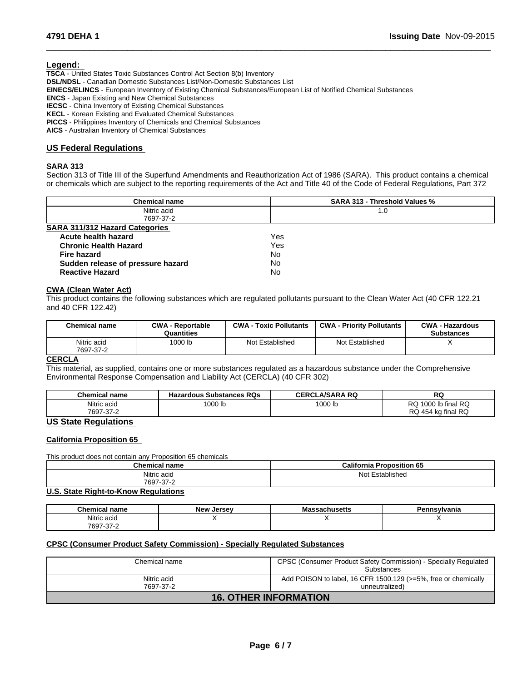#### **Legend:**

**TSCA** - United States Toxic Substances Control Act Section 8(b) Inventory **DSL/NDSL** - Canadian Domestic Substances List/Non-Domestic Substances List **EINECS/ELINCS** - European Inventory of Existing Chemical Substances/European List of Notified Chemical Substances **ENCS** - Japan Existing and New Chemical Substances **IECSC** - China Inventory of Existing Chemical Substances **KECL** - Korean Existing and Evaluated Chemical Substances **PICCS** - Philippines Inventory of Chemicals and Chemical Substances

**AICS** - Australian Inventory of Chemical Substances

#### **US Federal Regulations**

#### **SARA 313**

Section 313 of Title III of the Superfund Amendments and Reauthorization Act of 1986 (SARA). This product contains a chemical or chemicals which are subject to the reporting requirements of the Act and Title 40 of the Code of Federal Regulations, Part 372

 $\overline{\phantom{a}}$  ,  $\overline{\phantom{a}}$  ,  $\overline{\phantom{a}}$  ,  $\overline{\phantom{a}}$  ,  $\overline{\phantom{a}}$  ,  $\overline{\phantom{a}}$  ,  $\overline{\phantom{a}}$  ,  $\overline{\phantom{a}}$  ,  $\overline{\phantom{a}}$  ,  $\overline{\phantom{a}}$  ,  $\overline{\phantom{a}}$  ,  $\overline{\phantom{a}}$  ,  $\overline{\phantom{a}}$  ,  $\overline{\phantom{a}}$  ,  $\overline{\phantom{a}}$  ,  $\overline{\phantom{a}}$ 

| <b>Chemical name</b>                  | <b>SARA 313 - Threshold Values %</b> |  |
|---------------------------------------|--------------------------------------|--|
| Nitric acid                           | 1.0                                  |  |
| 7697-37-2                             |                                      |  |
| <b>SARA 311/312 Hazard Categories</b> |                                      |  |
| Acute health hazard                   | Yes                                  |  |
| <b>Chronic Health Hazard</b>          | Yes                                  |  |
| <b>Fire hazard</b>                    | No                                   |  |
| Sudden release of pressure hazard     | No                                   |  |
| <b>Reactive Hazard</b>                | No                                   |  |

#### **CWA (Clean Water Act)**

This product contains the following substances which are regulated pollutants pursuant to the Clean Water Act (40 CFR 122.21 and 40 CFR 122.42)

| <b>Chemical name</b>     | <b>CWA - Reportable</b><br>Quantities | <b>CWA - Toxic Pollutants</b> | <b>CWA - Priority Pollutants</b> | <b>CWA - Hazardous</b><br><b>Substances</b> |
|--------------------------|---------------------------------------|-------------------------------|----------------------------------|---------------------------------------------|
| Nitric acid<br>7697-37-2 | 1000 lb                               | Not Established               | Not Established                  |                                             |

#### **CERCLA**

This material, as supplied, contains one or more substances regulated as a hazardous substance under the Comprehensive Environmental Response Compensation and Liability Act (CERCLA) (40 CFR 302)

| <b>Chemical name</b> | <b>Hazardous Substances RQs</b> | <b>LA/SARA RQ</b><br>CERCL | RQ                     |
|----------------------|---------------------------------|----------------------------|------------------------|
| Nitric acid          | 1000 lb                         | 1000 lb                    | 1000 lb final RQ<br>שר |
| 7697-37-2            |                                 |                            | RQ 454 kg final RQ     |

# **US State Regulations**

#### **California Proposition 65**

This product does not contain any Proposition 65 chemicals

| $ -$<br>Chemical name | California<br>$\sim$ $\sim$<br>D.<br>oposition 65 |
|-----------------------|---------------------------------------------------|
| Nitric acid<br>.      | Not<br>Established<br>$\sim$ $\sim$               |
| 7697-37-2             |                                                   |

#### **U.S. State Right-to-Know Regulations**

| <b>Chemical</b><br>name      | <b>Now</b><br>larcay<br>. | пиэспэ | ∵∽∾lvania |
|------------------------------|---------------------------|--------|-----------|
| Nitric acio                  |                           |        |           |
| 7697<br>$\sim$<br>$1.31 - 2$ |                           |        |           |

#### **CPSC (Consumer Product Safety Commission) - Specially Regulated Substances**

| Chemical name                | CPSC (Consumer Product Safety Commission) - Specially Regulated<br>Substances |
|------------------------------|-------------------------------------------------------------------------------|
| Nitric acid                  | Add POISON to label, 16 CFR 1500.129 (>=5%, free or chemically                |
| 7697-37-2                    | unneutralized)                                                                |
| <b>16. OTHER INFORMATION</b> |                                                                               |